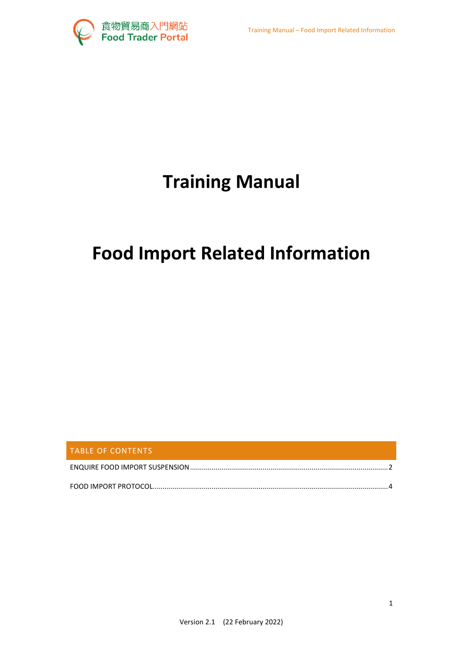

# **Training Manual**

## **Food Import Related Information**

| <b>TABLE OF CONTENTS</b> |  |
|--------------------------|--|
|                          |  |
|                          |  |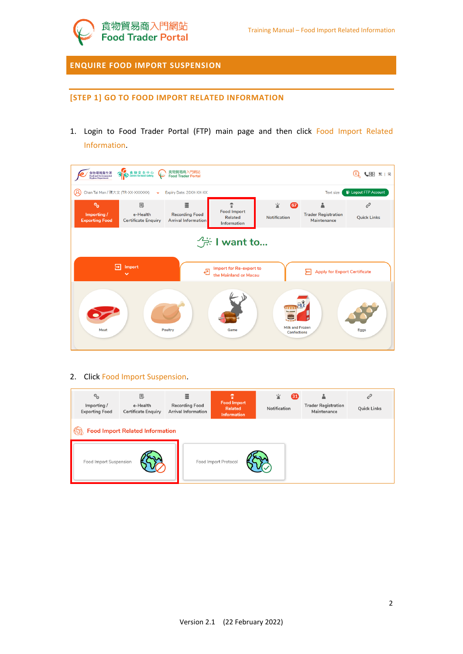<span id="page-1-0"></span>**ENQUIRE FOOD IMPORT SUSPENSION**

#### **[STEP 1] GO TO FOOD IMPORT RELATED INFORMATION**

1. Login to Food Trader Portal (FTP) main page and then click Food Import Related Information.

| 食物環境衛生署<br>Food and Environmental<br>Hygiene Department | S 食物安全中心                                            | 食物貿易商入門網站<br><b>Food Trader Portal</b>                   |                                                                 |                                                                  |                                           | (1) 心理 第1 简                          |
|---------------------------------------------------------|-----------------------------------------------------|----------------------------------------------------------|-----------------------------------------------------------------|------------------------------------------------------------------|-------------------------------------------|--------------------------------------|
| Q<br>Chan Tai Man / 陳大文 (TR-XX-XXXXXX)                  | $\checkmark$                                        | Expiry Date: 20XX-XX-XX                                  |                                                                 |                                                                  | <b>Text size</b>                          | <b>E</b> Logout FTP Account          |
| $\circ_{\circ}$<br>Importing /<br><b>Exporting Food</b> | <b>IE</b><br>e-Health<br><b>Certificate Enquiry</b> | 冒<br><b>Recording Food</b><br><b>Arrival Information</b> | Ť<br><b>Food Import</b><br><b>Related</b><br><b>Information</b> | 室<br>$\mathbf{G}$<br><b>Notification</b>                         | <b>Trader Registration</b><br>Maintenance | c <sup>2</sup><br><b>Quick Links</b> |
|                                                         |                                                     |                                                          | <b>A</b> I want to                                              |                                                                  |                                           |                                      |
| ⋤                                                       | Import                                              | ē                                                        | Import for Re-export to<br>the Mainland or Macau                |                                                                  | <b>Apply for Export Certificate</b><br>⊢  |                                      |
| Meat                                                    |                                                     | <b>Poultry</b>                                           | Game                                                            | лтт<br>lee cream<br><b>Milk and Frozen</b><br><b>Confections</b> |                                           | <b>Eggs</b>                          |

#### 2. Click Food Import Suspension.

| $\circ_{\circ}$<br>Importing /<br><b>Exporting Food</b> | 良<br>e-Health<br><b>Certificate Enquiry</b> | Ξ<br><b>Recording Food</b><br><b>Arrival Information</b> | Ť<br><b>Food Import</b><br>Related<br>Information | 鲎<br>31<br>Notification | <b>Trader Registration</b><br>Maintenance | <b>Quick Links</b> |
|---------------------------------------------------------|---------------------------------------------|----------------------------------------------------------|---------------------------------------------------|-------------------------|-------------------------------------------|--------------------|
|                                                         | <b>Food Import Related Information</b>      |                                                          |                                                   |                         |                                           |                    |
| Food Import Suspension                                  |                                             |                                                          | Food Import Protocol                              |                         |                                           |                    |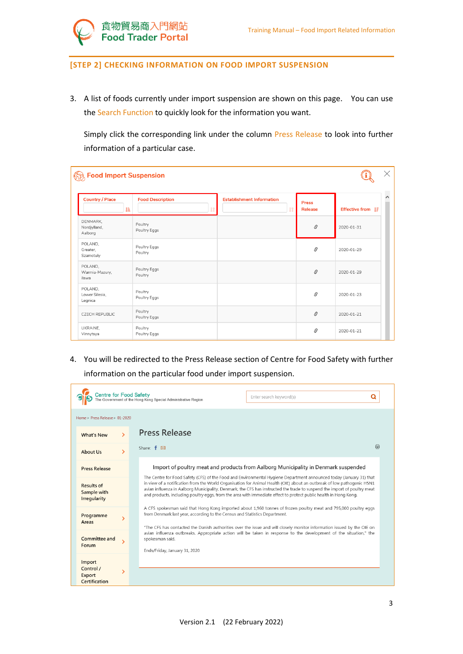

#### **[STEP 2] CHECKING INFORMATION ON FOOD IMPORT SUSPENSION**

3. A list of foods currently under import suspension are shown on this page. You can use the Search Function to quickly look for the information you want.

Simply click the corresponding link under the column Press Release to look into further information of a particular case.

| <b>Effective from</b> IF |                                                                                                                                                                                                                                                                                                                                                                                                                                                           | <b>Press</b><br><b>Release</b> | <b>Establishment Information</b> | <b>Food Description</b> | 韭 | <b>Country / Place</b>                         |
|--------------------------|-----------------------------------------------------------------------------------------------------------------------------------------------------------------------------------------------------------------------------------------------------------------------------------------------------------------------------------------------------------------------------------------------------------------------------------------------------------|--------------------------------|----------------------------------|-------------------------|---|------------------------------------------------|
| 2020-01-31               | $\mathcal{S}% _{0}=\mathcal{S}_{0}=\mathcal{S}_{0}=\mathcal{S}_{0}=\mathcal{S}_{0}=\mathcal{S}_{0}=\mathcal{S}_{0}=\mathcal{S}_{0}=\mathcal{S}_{0}=\mathcal{S}_{0}=\mathcal{S}_{0}=\mathcal{S}_{0}=\mathcal{S}_{0}=\mathcal{S}_{0}=\mathcal{S}_{0}=\mathcal{S}_{0}=\mathcal{S}_{0}=\mathcal{S}_{0}=\mathcal{S}_{0}=\mathcal{S}_{0}=\mathcal{S}_{0}=\mathcal{S}_{0}=\mathcal{S}_{0}=\mathcal{S}_{0}=\mathcal{S}_{0}=\mathcal{S}_{0}=\mathcal{S}_{0}=\math$ |                                |                                  | Poultry<br>Poultry Eggs |   | DENMARK,<br>Nordjylland,<br>Aalborg            |
| 2020-01-29               | S                                                                                                                                                                                                                                                                                                                                                                                                                                                         |                                |                                  | Poultry Eggs<br>Poultry |   | POLAND,<br>Greater,<br>Szamotuly               |
| 2020-01-29               | S                                                                                                                                                                                                                                                                                                                                                                                                                                                         |                                |                                  | Poultry Eggs<br>Poultry |   | POLAND,<br>Warmia-Mazury,<br>iława             |
| 2020-01-23               | S                                                                                                                                                                                                                                                                                                                                                                                                                                                         |                                |                                  | Poultry<br>Poultry Eggs |   | POLAND,<br>Lower Silesia,<br>Legnica           |
| 2020-01-21               | $\mathcal{S}% _{0}$                                                                                                                                                                                                                                                                                                                                                                                                                                       |                                |                                  | Poultry<br>Poultry Eggs |   |                                                |
|                          | 8<br>2020-01-21                                                                                                                                                                                                                                                                                                                                                                                                                                           |                                |                                  | Poultry<br>Poultry Eggs |   | <b>CZECH REPUBLIC</b><br>UKRAINE,<br>Vinnytsya |

4. You will be redirected to the Press Release section of Centre for Food Safety with further information on the particular food under import suspension.

|                                                     | <b>Centre for Food Safety</b><br>he Government of the Hong Kong Special Administrative Region<br>Enter search keyword(s)                                                                                                                                                                                                                                                                                                                                                                      |  |  |  |  |  |  |
|-----------------------------------------------------|-----------------------------------------------------------------------------------------------------------------------------------------------------------------------------------------------------------------------------------------------------------------------------------------------------------------------------------------------------------------------------------------------------------------------------------------------------------------------------------------------|--|--|--|--|--|--|
| Home > Press Release > 01-2020                      |                                                                                                                                                                                                                                                                                                                                                                                                                                                                                               |  |  |  |  |  |  |
| N<br><b>What's New</b>                              | <b>Press Release</b>                                                                                                                                                                                                                                                                                                                                                                                                                                                                          |  |  |  |  |  |  |
| У<br><b>About Us</b>                                | ⊜<br>Share: $f \boxtimes$                                                                                                                                                                                                                                                                                                                                                                                                                                                                     |  |  |  |  |  |  |
| <b>Press Release</b>                                | Import of poultry meat and products from Aalborg Municipality in Denmark suspended                                                                                                                                                                                                                                                                                                                                                                                                            |  |  |  |  |  |  |
| <b>Results of</b><br>Sample with<br>Irregularity    | The Centre for Food Safety (CFS) of the Food and Environmental Hygiene Department announced today (January 31) that<br>in view of a notification from the World Organisation for Animal Health (OIE) about an outbreak of low pathogenic H5N1<br>avian influenza in Aalborg Municipality, Denmark, the CFS has instructed the trade to suspend the import of poultry meat<br>and products, including poultry eggs, from the area with immediate effect to protect public health in Hong Kong. |  |  |  |  |  |  |
| Programme<br>Areas                                  | A CFS spokesman said that Hong Kong imported about 1,960 tonnes of frozen poultry meat and 795,000 poultry eggs<br>from Denmark last year, according to the Census and Statistics Department.<br>"The CFS has contacted the Danish authorities over the issue and will closely monitor information issued by the OIE on                                                                                                                                                                       |  |  |  |  |  |  |
| Committee and<br>Forum                              | avian influenza outbreaks. Appropriate action will be taken in response to the development of the situation," the<br>spokesman said.<br>Ends/Friday, January 31, 2020                                                                                                                                                                                                                                                                                                                         |  |  |  |  |  |  |
| Import<br>Control /<br>⋟<br>Export<br>Certification |                                                                                                                                                                                                                                                                                                                                                                                                                                                                                               |  |  |  |  |  |  |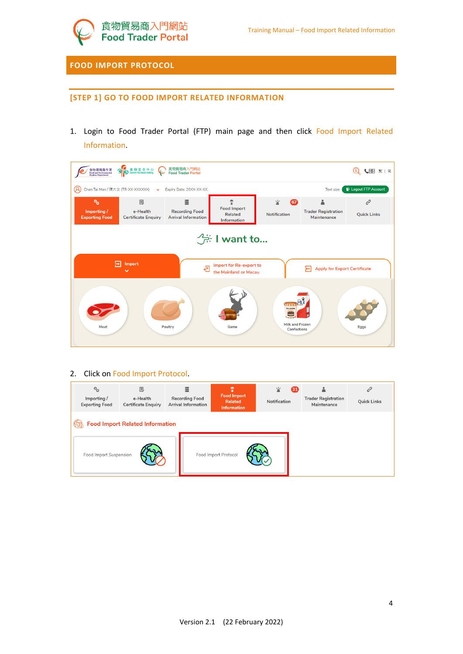

### <span id="page-3-0"></span>**FOOD IMPORT PROTOCOL**

#### **[STEP 1] GO TO FOOD IMPORT RELATED INFORMATION**

1. Login to Food Trader Portal (FTP) main page and then click Food Import Related Information.

| 食物環境衛生署<br>Food and Environmental<br>Hygiene Department | S 食物安全中心                                                                                                                        | 食物貿易商入門網站<br><b>Food Trader Portal</b>                   |                                                                      |                                                                   |                                                | ↓图 繁 简<br>$\mathbf{Q}$  |  |  |
|---------------------------------------------------------|---------------------------------------------------------------------------------------------------------------------------------|----------------------------------------------------------|----------------------------------------------------------------------|-------------------------------------------------------------------|------------------------------------------------|-------------------------|--|--|
| Q                                                       | <b>E</b> Logout FTP Account<br>Chan Tai Man / 陳大文 (TR-XX-XXXXXX)<br>Expiry Date: 20XX-XX-XX<br><b>Text size</b><br>$\checkmark$ |                                                          |                                                                      |                                                                   |                                                |                         |  |  |
| $o_{\alpha}$<br>Importing/<br><b>Exporting Food</b>     | <b>IE</b><br>e-Health<br><b>Certificate Enquiry</b>                                                                             | 三<br><b>Recording Food</b><br><b>Arrival Information</b> | $\mathcal{D}$<br><b>Food Import</b><br><b>Related</b><br>Information | 室<br>$\boldsymbol{\sigma}$<br><b>Notification</b>                 | Α<br><b>Trader Registration</b><br>Maintenance | c<br><b>Quick Links</b> |  |  |
|                                                         |                                                                                                                                 |                                                          | $\frac{1}{2}$ : I want to                                            |                                                                   |                                                |                         |  |  |
| ₽                                                       | Import<br>$\checkmark$                                                                                                          | චි                                                       | Import for Re-export to<br>the Mainland or Macau                     |                                                                   | <b>Apply for Export Certificate</b><br>⊁       |                         |  |  |
| Meat                                                    |                                                                                                                                 | <b>Poultry</b>                                           | Game                                                                 | ітті<br>lce cream<br><b>Milk and Frozen</b><br><b>Confections</b> |                                                | <b>Eggs</b>             |  |  |

#### 2. Click on Food Import Protocol.

| $\circ_{\circ}$<br>Importing /<br><b>Exporting Food</b> | 良<br>e-Health<br><b>Certificate Enguiry</b> | 亖<br><b>Recording Food</b><br><b>Arrival Information</b> | Υ<br><b>Food Import</b><br><b>Related</b><br><b>Information</b> | ൏<br>宣<br>Notification | <b>Trader Registration</b><br>Maintenance | $\mathcal{C}^2$<br><b>Quick Links</b> |
|---------------------------------------------------------|---------------------------------------------|----------------------------------------------------------|-----------------------------------------------------------------|------------------------|-------------------------------------------|---------------------------------------|
|                                                         | <b>Food Import Related Information</b>      |                                                          |                                                                 |                        |                                           |                                       |
| Food Import Suspension                                  |                                             |                                                          | Food Import Protocol                                            |                        |                                           |                                       |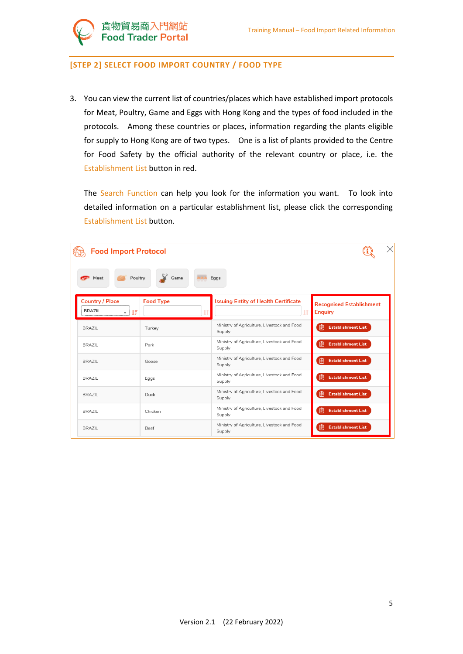

食物貿易商入門網站<br>Food Trader Portal

3. You can view the current list of countries/places which have established import protocols for Meat, Poultry, Game and Eggs with Hong Kong and the types of food included in the protocols. Among these countries or places, information regarding the plants eligible for supply to Hong Kong are of two types. One is a list of plants provided to the Centre for Food Safety by the official authority of the relevant country or place, i.e. the Establishment List button in red.

The Search Function can help you look for the information you want. To look into detailed information on a particular establishment list, please click the corresponding Establishment List button.

| <b>Food Import Protocol</b>                  |                  |                                                       | $\times$                                          |
|----------------------------------------------|------------------|-------------------------------------------------------|---------------------------------------------------|
| Poultry<br>Meat                              | Game             | Eggs                                                  |                                                   |
| <b>Country / Place</b><br><b>BRAZIL</b><br>耳 | <b>Food Type</b> | <b>Issuing Entity of Health Certificate</b>           | <b>Recognised Establishment</b><br><b>Enquiry</b> |
| <b>BRAZIL</b>                                | Turkey           | Ministry of Agriculture, Livestock and Food<br>Supply | 噜<br><b>Establishment List</b>                    |
| <b>BRAZIL</b>                                | Pork             | Ministry of Agriculture, Livestock and Food<br>Supply | 阍<br><b>Establishment List</b>                    |
| <b>BRAZIL</b>                                | Goose            | Ministry of Agriculture, Livestock and Food<br>Supply | 阍<br><b>Establishment List</b>                    |
| <b>BRAZIL</b>                                | Eggs             | Ministry of Agriculture, Livestock and Food<br>Supply | 阍<br><b>Establishment List</b>                    |
| <b>BRAZIL</b>                                | Duck             | Ministry of Agriculture, Livestock and Food<br>Supply | Ռ<br><b>Establishment List</b>                    |
| BRA7II                                       | Chicken          | Ministry of Agriculture, Livestock and Food<br>Supply | 噜<br><b>Establishment List</b>                    |
| <b>BRAZIL</b>                                | Beef             | Ministry of Agriculture, Livestock and Food<br>Supply | 噜<br><b>Establishment List</b>                    |